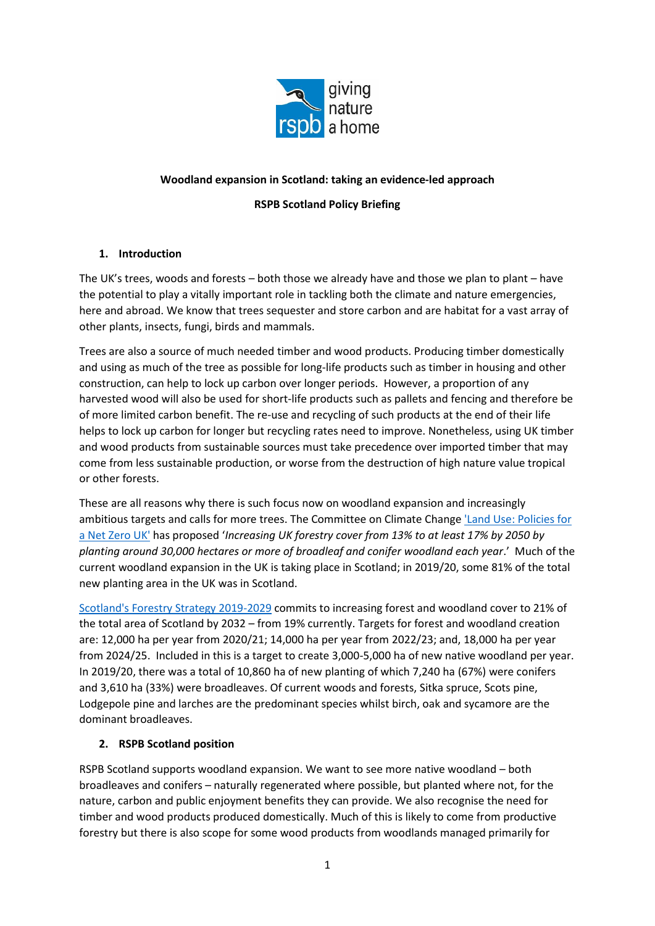

## **Woodland expansion in Scotland: taking an evidence-led approach**

## **RSPB Scotland Policy Briefing**

### **1. Introduction**

The UK's trees, woods and forests – both those we already have and those we plan to plant – have the potential to play a vitally important role in tackling both the climate and nature emergencies, here and abroad. We know that trees sequester and store carbon and are habitat for a vast array of other plants, insects, fungi, birds and mammals.

Trees are also a source of much needed timber and wood products. Producing timber domestically and using as much of the tree as possible for long-life products such as timber in housing and other construction, can help to lock up carbon over longer periods. However, a proportion of any harvested wood will also be used for short-life products such as pallets and fencing and therefore be of more limited carbon benefit. The re-use and recycling of such products at the end of their life helps to lock up carbon for longer but recycling rates need to improve. Nonetheless, using UK timber and wood products from sustainable sources must take precedence over imported timber that may come from less sustainable production, or worse from the destruction of high nature value tropical or other forests.

These are all reasons why there is such focus now on woodland expansion and increasingly ambitious targets and calls for more trees. The Committee on Climate Change ['Land Use: Policies for](file:///C:/Users/vickiswales/Downloads/Land-use-Policies-for-a-Net-Zero-UK%20(1).pdf)  [a Net Zero UK'](file:///C:/Users/vickiswales/Downloads/Land-use-Policies-for-a-Net-Zero-UK%20(1).pdf) has proposed '*Increasing UK forestry cover from 13% to at least 17% by 2050 by planting around 30,000 hectares or more of broadleaf and conifer woodland each year*.' Much of the current woodland expansion in the UK is taking place in Scotland; in 2019/20, some 81% of the total new planting area in the UK was in Scotland.

[Scotland's Forestry Strategy 2019-2029](file:///C:/Users/vickiswales/Downloads/scotlands-forestry-strategy-2019-2029%20(3).pdf) commits to increasing forest and woodland cover to 21% of the total area of Scotland by 2032 – from 19% currently. Targets for forest and woodland creation are: 12,000 ha per year from 2020/21; 14,000 ha per year from 2022/23; and, 18,000 ha per year from 2024/25. Included in this is a target to create 3,000-5,000 ha of new native woodland per year. In 2019/20, there was a total of 10,860 ha of new planting of which 7,240 ha (67%) were conifers and 3,610 ha (33%) were broadleaves. Of current woods and forests, Sitka spruce, Scots pine, Lodgepole pine and larches are the predominant species whilst birch, oak and sycamore are the dominant broadleaves.

### **2. RSPB Scotland position**

RSPB Scotland supports woodland expansion. We want to see more native woodland – both broadleaves and conifers – naturally regenerated where possible, but planted where not, for the nature, carbon and public enjoyment benefits they can provide. We also recognise the need for timber and wood products produced domestically. Much of this is likely to come from productive forestry but there is also scope for some wood products from woodlands managed primarily for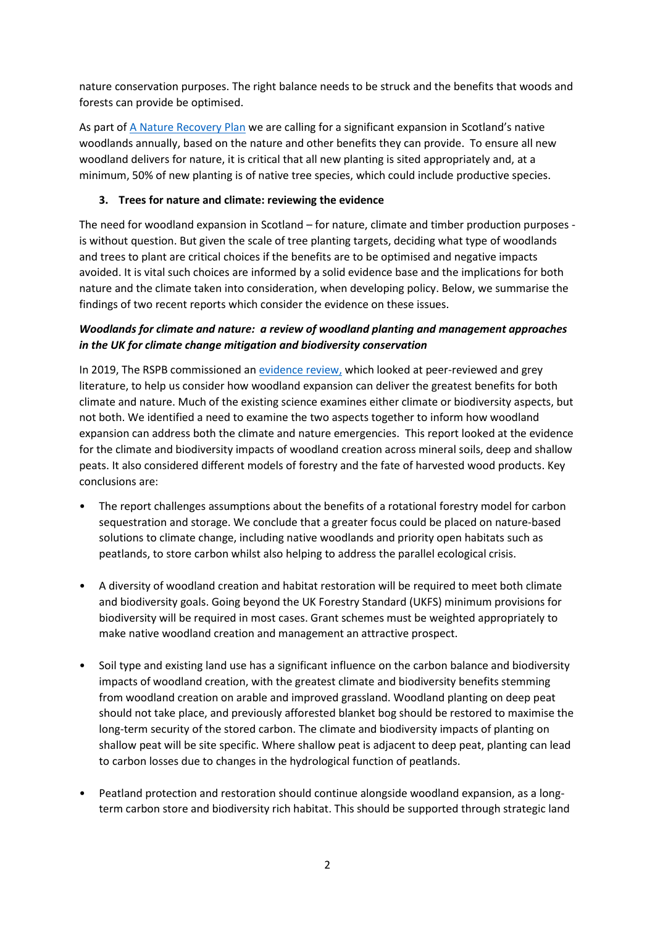nature conservation purposes. The right balance needs to be struck and the benefits that woods and forests can provide be optimised.

As part of [A Nature Recovery Plan](https://www.rspb.org.uk/globalassets/downloads/nature-recovery-plan---scotland/nature-recovery-plan.pdf) we are calling for a significant expansion in Scotland's native woodlands annually, based on the nature and other benefits they can provide. To ensure all new woodland delivers for nature, it is critical that all new planting is sited appropriately and, at a minimum, 50% of new planting is of native tree species, which could include productive species.

## **3. Trees for nature and climate: reviewing the evidence**

The need for woodland expansion in Scotland – for nature, climate and timber production purposes is without question. But given the scale of tree planting targets, deciding what type of woodlands and trees to plant are critical choices if the benefits are to be optimised and negative impacts avoided. It is vital such choices are informed by a solid evidence base and the implications for both nature and the climate taken into consideration, when developing policy. Below, we summarise the findings of two recent reports which consider the evidence on these issues.

# *Woodlands for climate and nature: a review of woodland planting and management approaches in the UK for climate change mitigation and biodiversity conservation*

In 2019, The RSPB commissioned a[n evidence review,](http://ww2.rspb.org.uk/Images/Forestry%20and%20climate%20change%20report%20Feb%202020_tcm9-478449.pdf) which looked at peer-reviewed and grey literature, to help us consider how woodland expansion can deliver the greatest benefits for both climate and nature. Much of the existing science examines either climate or biodiversity aspects, but not both. We identified a need to examine the two aspects together to inform how woodland expansion can address both the climate and nature emergencies. This report looked at the evidence for the climate and biodiversity impacts of woodland creation across mineral soils, deep and shallow peats. It also considered different models of forestry and the fate of harvested wood products. Key conclusions are:

- The report challenges assumptions about the benefits of a rotational forestry model for carbon sequestration and storage. We conclude that a greater focus could be placed on nature-based solutions to climate change, including native woodlands and priority open habitats such as peatlands, to store carbon whilst also helping to address the parallel ecological crisis.
- A diversity of woodland creation and habitat restoration will be required to meet both climate and biodiversity goals. Going beyond the UK Forestry Standard (UKFS) minimum provisions for biodiversity will be required in most cases. Grant schemes must be weighted appropriately to make native woodland creation and management an attractive prospect.
- Soil type and existing land use has a significant influence on the carbon balance and biodiversity impacts of woodland creation, with the greatest climate and biodiversity benefits stemming from woodland creation on arable and improved grassland. Woodland planting on deep peat should not take place, and previously afforested blanket bog should be restored to maximise the long-term security of the stored carbon. The climate and biodiversity impacts of planting on shallow peat will be site specific. Where shallow peat is adjacent to deep peat, planting can lead to carbon losses due to changes in the hydrological function of peatlands.
- Peatland protection and restoration should continue alongside woodland expansion, as a longterm carbon store and biodiversity rich habitat. This should be supported through strategic land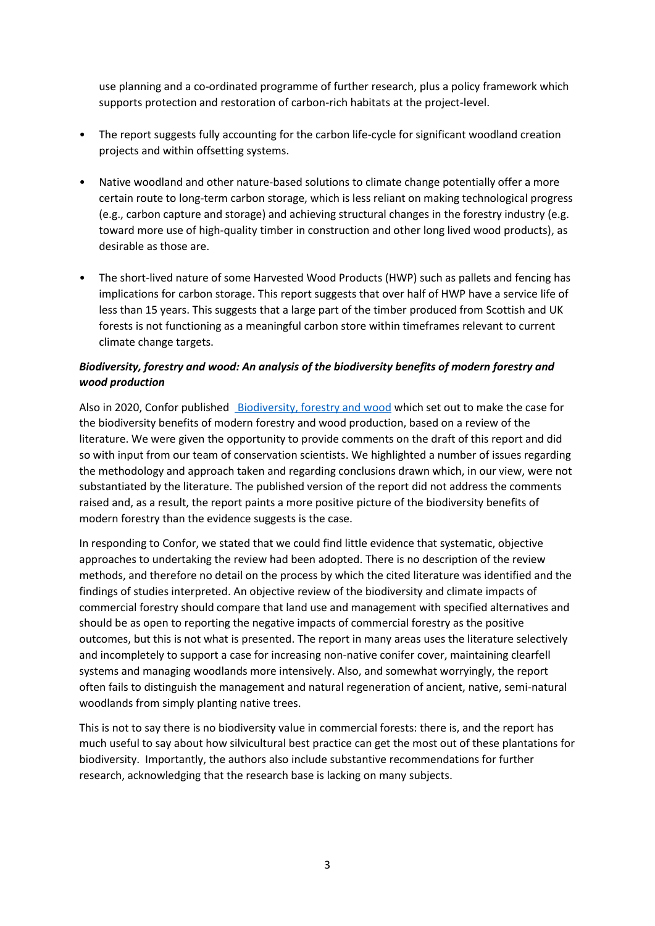use planning and a co-ordinated programme of further research, plus a policy framework which supports protection and restoration of carbon-rich habitats at the project-level.

- The report suggests fully accounting for the carbon life-cycle for significant woodland creation projects and within offsetting systems.
- Native woodland and other nature-based solutions to climate change potentially offer a more certain route to long-term carbon storage, which is less reliant on making technological progress (e.g., carbon capture and storage) and achieving structural changes in the forestry industry (e.g. toward more use of high-quality timber in construction and other long lived wood products), as desirable as those are.
- The short-lived nature of some Harvested Wood Products (HWP) such as pallets and fencing has implications for carbon storage. This report suggests that over half of HWP have a service life of less than 15 years. This suggests that a large part of the timber produced from Scottish and UK forests is not functioning as a meaningful carbon store within timeframes relevant to current climate change targets.

# *Biodiversity, forestry and wood: An analysis of the biodiversity benefits of modern forestry and wood production*

Also in 2020, Confor published [Biodiversity, forestry and wood](http://www.confor.org.uk/media/247794/confor-biodiversity-forestry-report.pdf) which set out to make the case for the biodiversity benefits of modern forestry and wood production, based on a review of the literature. We were given the opportunity to provide comments on the draft of this report and did so with input from our team of conservation scientists. We highlighted a number of issues regarding the methodology and approach taken and regarding conclusions drawn which, in our view, were not substantiated by the literature. The published version of the report did not address the comments raised and, as a result, the report paints a more positive picture of the biodiversity benefits of modern forestry than the evidence suggests is the case.

In responding to Confor, we stated that we could find little evidence that systematic, objective approaches to undertaking the review had been adopted. There is no description of the review methods, and therefore no detail on the process by which the cited literature was identified and the findings of studies interpreted. An objective review of the biodiversity and climate impacts of commercial forestry should compare that land use and management with specified alternatives and should be as open to reporting the negative impacts of commercial forestry as the positive outcomes, but this is not what is presented. The report in many areas uses the literature selectively and incompletely to support a case for increasing non-native conifer cover, maintaining clearfell systems and managing woodlands more intensively. Also, and somewhat worryingly, the report often fails to distinguish the management and natural regeneration of ancient, native, semi-natural woodlands from simply planting native trees.

This is not to say there is no biodiversity value in commercial forests: there is, and the report has much useful to say about how silvicultural best practice can get the most out of these plantations for biodiversity. Importantly, the authors also include substantive recommendations for further research, acknowledging that the research base is lacking on many subjects.